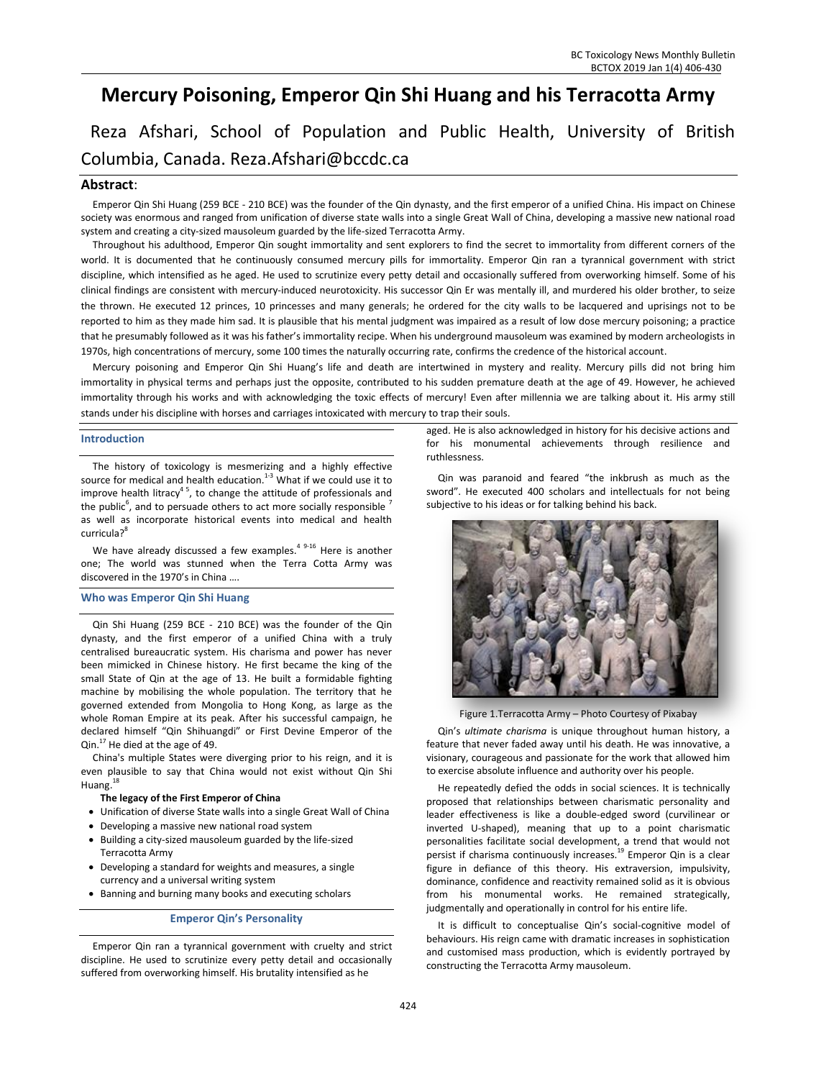# **Mercury Poisoning, Emperor Qin Shi Huang and his Terracotta Army**

Reza Afshari, School of Population and Public Health, University of British Columbia, Canada. Reza.Afshari@bccdc.ca

# **Abstract**:

Emperor Qin Shi Huang (259 BCE - 210 BCE) was the founder of the Qin dynasty, and the first emperor of a unified China. His impact on Chinese society was enormous and ranged from unification of diverse state walls into a single Great Wall of China, developing a massive new national road system and creating a city-sized mausoleum guarded by the life-sized Terracotta Army.

Throughout his adulthood, Emperor Qin sought immortality and sent explorers to find the secret to immortality from different corners of the world. It is documented that he continuously consumed mercury pills for immortality. Emperor Qin ran a tyrannical government with strict discipline, which intensified as he aged. He used to scrutinize every petty detail and occasionally suffered from overworking himself. Some of his clinical findings are consistent with mercury-induced neurotoxicity. His successor Qin Er was mentally ill, and murdered his older brother, to seize the thrown. He executed 12 princes, 10 princesses and many generals; he ordered for the city walls to be lacquered and uprisings not to be reported to him as they made him sad. It is plausible that his mental judgment was impaired as a result of low dose mercury poisoning; a practice that he presumably followed as it was his father's immortality recipe. When his underground mausoleum was examined by modern archeologists in 1970s, high concentrations of mercury, some 100 times the naturally occurring rate, confirms the credence of the historical account.

Mercury poisoning and Emperor Qin Shi Huang's life and death are intertwined in mystery and reality. Mercury pills did not bring him immortality in physical terms and perhaps just the opposite, contributed to his sudden premature death at the age of 49. However, he achieved immortality through his works and with acknowledging the toxic effects of mercury! Even after millennia we are talking about it. His army still stands under his discipline with horses and carriages intoxicated with mercury to trap their souls.

# **Introduction**

The history of toxicology is mesmerizing and a highly effective source for medical and health education. $1-3$  What if we could use it to improve health litracy<sup>45</sup>, to change the attitude of professionals and the public<sup>6</sup>, and to persuade others to act more socially responsible  $^7$ as well as incorporate historical events into medical and health curricula? 8

We have already discussed a few examples.<sup>49-16</sup> Here is another one; The world was stunned when the Terra Cotta Army was discovered in the 1970's in China ….

# **Who was Emperor Qin Shi Huang**

Qin Shi Huang (259 BCE - 210 BCE) was the founder of the Qin dynasty, and the first emperor of a unified China with a truly centralised bureaucratic system. His charisma and power has never been mimicked in Chinese history. He first became the king of the small State of Qin at the age of 13. He built a formidable fighting machine by mobilising the whole population. The territory that he governed extended from Mongolia to Hong Kong, as large as the whole Roman Empire at its peak. After his successful campaign, he declared himself "Qin Shihuangdi" or First Devine Emperor of the Qin.<sup>17</sup> He died at the age of 49.

China's multiple States were diverging prior to his reign, and it is even plausible to say that China would not exist without Qin Shi Huang.<sup>18</sup>

# **The legacy of the First Emperor of China**

- Unification of diverse State walls into a single Great Wall of China
- Developing a massive new national road system
- Building a city-sized mausoleum guarded by the life-sized Terracotta Army
- Developing a standard for weights and measures, a single currency and a universal writing system
- Banning and burning many books and executing scholars

# **Emperor Qin's Personality**

Emperor Qin ran a tyrannical government with cruelty and strict discipline. He used to scrutinize every petty detail and occasionally suffered from overworking himself. His brutality intensified as he

aged. He is also acknowledged in history for his decisive actions and for his monumental achievements through resilience and ruthlessness.

Qin was paranoid and feared "the inkbrush as much as the sword". He executed 400 scholars and intellectuals for not being subjective to his ideas or for talking behind his back.



Figure 1.Terracotta Army – Photo Courtesy of Pixabay

Qin's *ultimate charisma* is unique throughout human history, a feature that never faded away until his death. He was innovative, a visionary, courageous and passionate for the work that allowed him to exercise absolute influence and authority over his people.

He repeatedly defied the odds in social sciences. It is technically proposed that relationships between charismatic personality and leader effectiveness is like a double-edged sword (curvilinear or inverted U-shaped), meaning that up to a point charismatic personalities facilitate social development, a trend that would not persist if charisma continuously increases.<sup>19</sup> Emperor Qin is a clear figure in defiance of this theory. His extraversion, impulsivity, dominance, confidence and reactivity remained solid as it is obvious from his monumental works. He remained strategically, judgmentally and operationally in control for his entire life.

It is difficult to conceptualise Qin's social-cognitive model of behaviours. His reign came with dramatic increases in sophistication and customised mass production, which is evidently portrayed by constructing the Terracotta Army mausoleum.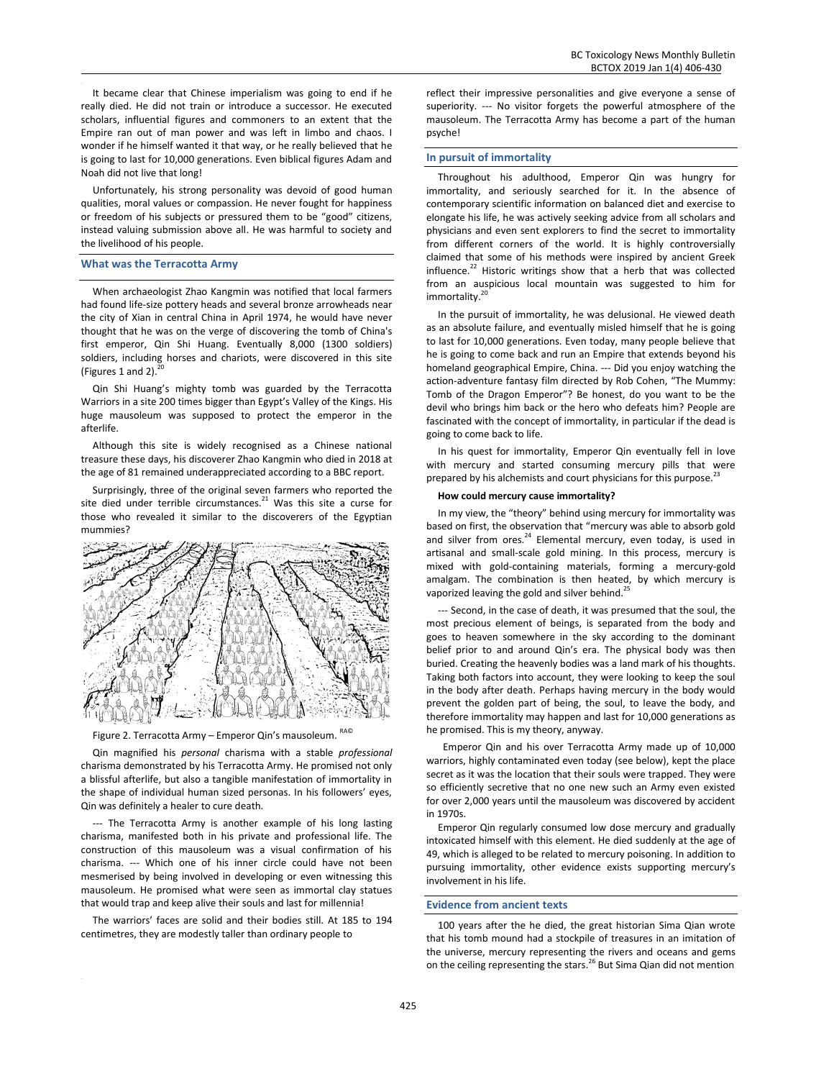It became clear that Chinese imperialism was going to end if he really died. He did not train or introduce a successor. He executed scholars, influential figures and commoners to an extent that the Empire ran out of man power and was left in limbo and chaos. I wonder if he himself wanted it that way, or he really believed that he is going to last for 10,000 generations. Even biblical figures Adam and Noah did not live that long!

Unfortunately, his strong personality was devoid of good human qualities, moral values or compassion. He never fought for happiness or freedom of his subjects or pressured them to be "good" citizens, instead valuing submission above all. He was harmful to society and the livelihood of his people.

# **What was the Terracotta Army**

When archaeologist Zhao Kangmin was notified that local farmers had found life-size pottery heads and several bronze arrowheads near the city of Xian in central China in April 1974, he would have never thought that he was on the verge of discovering the tomb of China's first emperor, Qin Shi Huang. Eventually 8,000 (1300 soldiers) soldiers, including horses and chariots, were discovered in this site (Figures 1 and 2).<sup>20</sup>

Qin Shi Huang's mighty tomb was guarded by the Terracotta Warriors in a site 200 times bigger than Egypt's Valley of the Kings. His huge mausoleum was supposed to protect the emperor in the afterlife.

Although this site is widely recognised as a Chinese national treasure these days, his discoverer Zhao Kangmin who died in 2018 at the age of 81 remained underappreciated according to a BBC report.

Surprisingly, three of the original seven farmers who reported the site died under terrible circumstances. $21$  Was this site a curse for those who revealed it similar to the discoverers of the Egyptian mummies?



Figure 2. Terracotta Army – Emperor Qin's mausoleum. RA©

Qin magnified his *personal* charisma with a stable *professional* charisma demonstrated by his Terracotta Army. He promised not only a blissful afterlife, but also a tangible manifestation of immortality in the shape of individual human sized personas. In his followers' eyes, Qin was definitely a healer to cure death.

--- The Terracotta Army is another example of his long lasting charisma, manifested both in his private and professional life. The construction of this mausoleum was a visual confirmation of his charisma. --- Which one of his inner circle could have not been mesmerised by being involved in developing or even witnessing this mausoleum. He promised what were seen as immortal clay statues that would trap and keep alive their souls and last for millennia!

The warriors' faces are solid and their bodies still. At 185 to 194 centimetres, they are modestly taller than ordinary people to

reflect their impressive personalities and give everyone a sense of superiority. --- No visitor forgets the powerful atmosphere of the mausoleum. The Terracotta Army has become a part of the human psyche!

# **In pursuit of immortality**

Throughout his adulthood, Emperor Qin was hungry for immortality, and seriously searched for it. In the absence of contemporary scientific information on balanced diet and exercise to elongate his life, he was actively seeking advice from all scholars and physicians and even sent explorers to find the secret to immortality from different corners of the world. It is highly controversially claimed that some of his methods were inspired by ancient Greek influence.<sup>22</sup> Historic writings show that a herb that was collected from an auspicious local mountain was suggested to him for immortality. 20

In the pursuit of immortality, he was delusional. He viewed death as an absolute failure, and eventually misled himself that he is going to last for 10,000 generations. Even today, many people believe that he is going to come back and run an Empire that extends beyond his homeland geographical Empire, China. --- Did you enjoy watching the action-adventure fantasy film directed by Rob Cohen, "The Mummy: Tomb of the Dragon Emperor"? Be honest, do you want to be the devil who brings him back or the hero who defeats him? People are fascinated with the concept of immortality, in particular if the dead is going to come back to life.

In his quest for immortality, Emperor Qin eventually fell in love with mercury and started consuming mercury pills that were prepared by his alchemists and court physicians for this purpose.<sup>23</sup>

# **How could mercury cause immortality?**

In my view, the "theory" behind using mercury for immortality was based on first, the observation that "mercury was able to absorb gold and silver from ores.<sup>24</sup> Elemental mercury, even today, is used in artisanal and small-scale gold mining. In this process, mercury is mixed with gold-containing materials, forming a mercury-gold amalgam. The combination is then heated, by which mercury is vaporized leaving the gold and silver behind.<sup>2</sup>

--- Second, in the case of death, it was presumed that the soul, the most precious element of beings, is separated from the body and goes to heaven somewhere in the sky according to the dominant belief prior to and around Qin's era. The physical body was then buried. Creating the heavenly bodies was a land mark of his thoughts. Taking both factors into account, they were looking to keep the soul in the body after death. Perhaps having mercury in the body would prevent the golden part of being, the soul, to leave the body, and therefore immortality may happen and last for 10,000 generations as he promised. This is my theory, anyway.

 Emperor Qin and his over Terracotta Army made up of 10,000 warriors, highly contaminated even today (see below), kept the place secret as it was the location that their souls were trapped. They were so efficiently secretive that no one new such an Army even existed for over 2,000 years until the mausoleum was discovered by accident in 1970s.

Emperor Qin regularly consumed low dose mercury and gradually intoxicated himself with this element. He died suddenly at the age of 49, which is alleged to be related to mercury poisoning. In addition to pursuing immortality, other evidence exists supporting mercury's involvement in his life.

#### **Evidence from ancient texts**

100 years after the he died, the great historian Sima Qian wrote that his tomb mound had a stockpile of treasures in an imitation of the universe, mercury representing the rivers and oceans and gems on the ceiling representing the stars.<sup>26</sup> But Sima Qian did not mention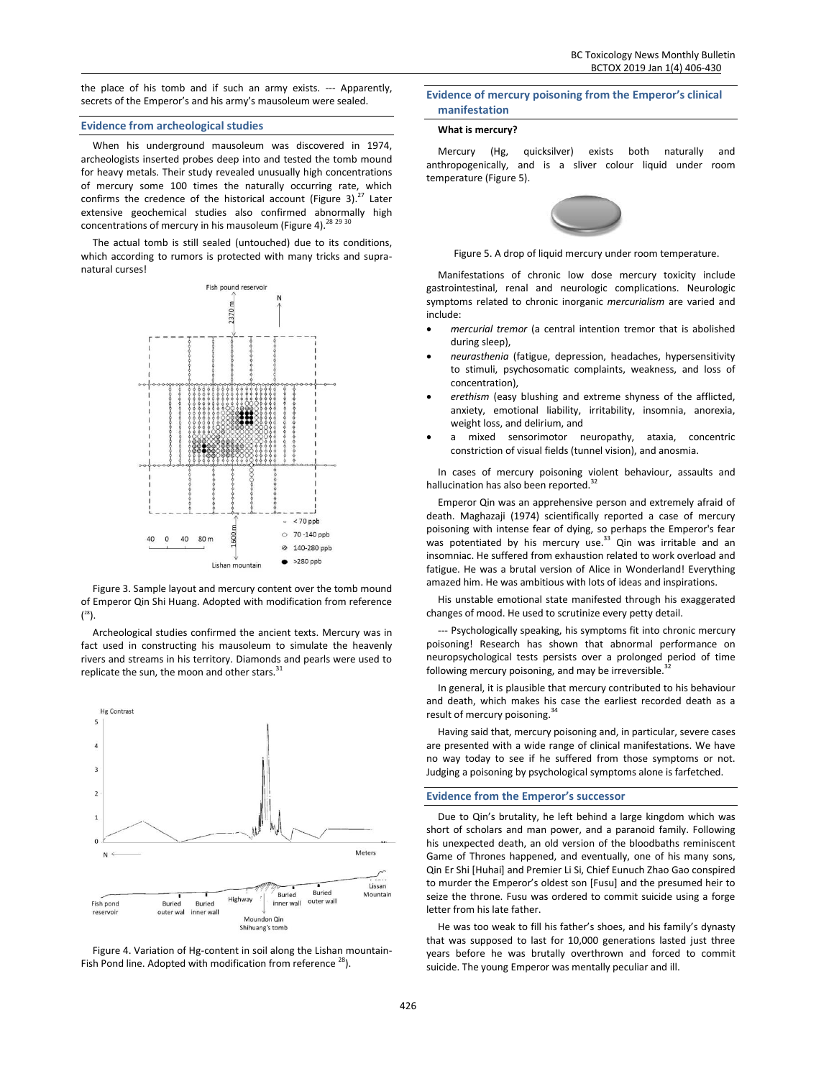the place of his tomb and if such an army exists. --- Apparently, secrets of the Emperor's and his army's mausoleum were sealed.

# **Evidence from archeological studies**

When his underground mausoleum was discovered in 1974, archeologists inserted probes deep into and tested the tomb mound for heavy metals. Their study revealed unusually high concentrations of mercury some 100 times the naturally occurring rate, which confirms the credence of the historical account (Figure 3). $^{27}$  Later extensive geochemical studies also confirmed abnormally high concentrations of mercury in his mausoleum (Figure 4).<sup>28</sup>  $^{29}$   $^{30}$ 

The actual tomb is still sealed (untouched) due to its conditions, which according to rumors is protected with many tricks and supranatural curses!



Figure 3. Sample layout and mercury content over the tomb mound of Emperor Qin Shi Huang. Adopted with modification from reference ( <sup>28</sup>).

Archeological studies confirmed the ancient texts. Mercury was in fact used in constructing his mausoleum to simulate the heavenly rivers and streams in his territory. Diamonds and pearls were used to replicate the sun, the moon and other stars.<sup>3</sup>



Figure 4. Variation of Hg-content in soil along the Lishan mountain-Fish Pond line. Adopted with modification from reference  $^{28}$ ).

# **Evidence of mercury poisoning from the Emperor's clinical manifestation**

#### **What is mercury?**

Mercury (Hg, quicksilver) exists both naturally and anthropogenically, and is a sliver colour liquid under room temperature (Figure 5).



Figure 5. A drop of liquid mercury under room temperature.

Manifestations of chronic low dose mercury toxicity include gastrointestinal, renal and neurologic complications. Neurologic symptoms related to chronic inorganic *mercurialism* are varied and include:

- *mercurial tremor* (a central intention tremor that is abolished during sleep),
- *neurasthenia* (fatigue, depression, headaches, hypersensitivity to stimuli, psychosomatic complaints, weakness, and loss of concentration),
- *erethism* (easy blushing and extreme shyness of the afflicted, anxiety, emotional liability, irritability, insomnia, anorexia, weight loss, and delirium, and
- a mixed sensorimotor neuropathy, ataxia, concentric constriction of visual fields (tunnel vision), and anosmia.

In cases of mercury poisoning violent behaviour, assaults and hallucination has also been reported.<sup>32</sup>

Emperor Qin was an apprehensive person and extremely afraid of death. Maghazaji (1974) scientifically reported a case of mercury poisoning with intense fear of dying, so perhaps the Emperor's fear was potentiated by his mercury use.<sup>33</sup> Qin was irritable and an insomniac. He suffered from exhaustion related to work overload and fatigue. He was a brutal version of Alice in Wonderland! Everything amazed him. He was ambitious with lots of ideas and inspirations.

His unstable emotional state manifested through his exaggerated changes of mood. He used to scrutinize every petty detail.

--- Psychologically speaking, his symptoms fit into chronic mercury poisoning! Research has shown that abnormal performance on neuropsychological tests persists over a prolonged period of time following mercury poisoning, and may be irreversible.

In general, it is plausible that mercury contributed to his behaviour and death, which makes his case the earliest recorded death as a result of mercury poisoning.<sup>34</sup>

Having said that, mercury poisoning and, in particular, severe cases are presented with a wide range of clinical manifestations. We have no way today to see if he suffered from those symptoms or not. Judging a poisoning by psychological symptoms alone is farfetched.

#### **Evidence from the Emperor's successor**

Due to Qin's brutality, he left behind a large kingdom which was short of scholars and man power, and a paranoid family. Following his unexpected death, an old version of the bloodbaths reminiscent Game of Thrones happened, and eventually, one of his many sons, Qin Er Shi [Huhai] and Premier Li Si, Chief Eunuch Zhao Gao conspired to murder the Emperor's oldest son [Fusu] and the presumed heir to seize the throne. Fusu was ordered to commit suicide using a forge letter from his late father.

He was too weak to fill his father's shoes, and his family's dynasty that was supposed to last for 10,000 generations lasted just three years before he was brutally overthrown and forced to commit suicide. The young Emperor was mentally peculiar and ill.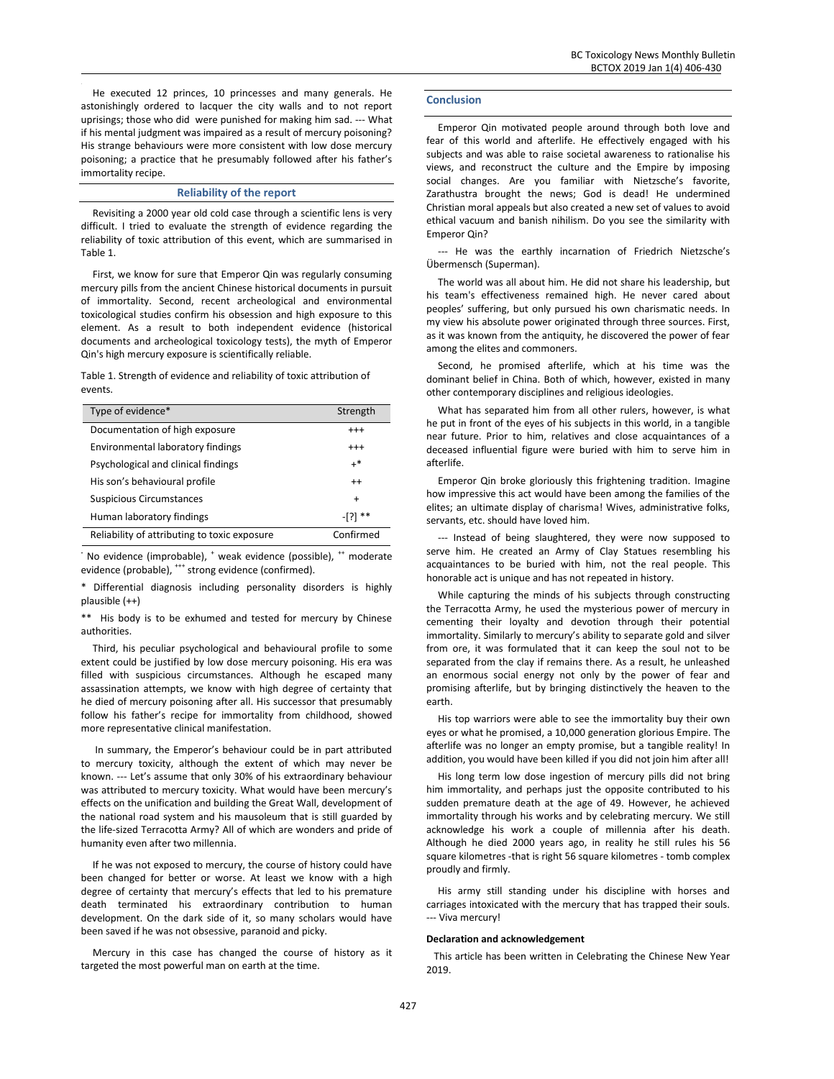He executed 12 princes, 10 princesses and many generals. He astonishingly ordered to lacquer the city walls and to not report uprisings; those who did were punished for making him sad. --- What if his mental judgment was impaired as a result of mercury poisoning? His strange behaviours were more consistent with low dose mercury poisoning; a practice that he presumably followed after his father's immortality recipe.

# **Reliability of the report**

Revisiting a 2000 year old cold case through a scientific lens is very difficult. I tried to evaluate the strength of evidence regarding the reliability of toxic attribution of this event, which are summarised in Table 1.

First, we know for sure that Emperor Qin was regularly consuming mercury pills from the ancient Chinese historical documents in pursuit of immortality. Second, recent archeological and environmental toxicological studies confirm his obsession and high exposure to this element. As a result to both independent evidence (historical documents and archeological toxicology tests), the myth of Emperor Qin's high mercury exposure is scientifically reliable.

Table 1. Strength of evidence and reliability of toxic attribution of events.

| Type of evidence*                            | Strength  |
|----------------------------------------------|-----------|
| Documentation of high exposure               | $^{+++}$  |
| Environmental laboratory findings            | $^{+++}$  |
| Psychological and clinical findings          | $+^*$     |
| His son's behavioural profile                | $^{++}$   |
| Suspicious Circumstances                     | $\ddot{}$ |
| Human laboratory findings                    | -131      |
| Reliability of attributing to toxic exposure | Confirmed |

<sup>-</sup> No evidence (improbable), <sup>+</sup> weak evidence (possible), <sup>++</sup> moderate evidence (probable), \*\*\* strong evidence (confirmed).

\* Differential diagnosis including personality disorders is highly plausible (++)

\*\* His body is to be exhumed and tested for mercury by Chinese authorities.

Third, his peculiar psychological and behavioural profile to some extent could be justified by low dose mercury poisoning. His era was filled with suspicious circumstances. Although he escaped many assassination attempts, we know with high degree of certainty that he died of mercury poisoning after all. His successor that presumably follow his father's recipe for immortality from childhood, showed more representative clinical manifestation.

In summary, the Emperor's behaviour could be in part attributed to mercury toxicity, although the extent of which may never be known. --- Let's assume that only 30% of his extraordinary behaviour was attributed to mercury toxicity. What would have been mercury's effects on the unification and building the Great Wall, development of the national road system and his mausoleum that is still guarded by the life-sized Terracotta Army? All of which are wonders and pride of humanity even after two millennia.

If he was not exposed to mercury, the course of history could have been changed for better or worse. At least we know with a high degree of certainty that mercury's effects that led to his premature death terminated his extraordinary contribution to human development. On the dark side of it, so many scholars would have been saved if he was not obsessive, paranoid and picky.

Mercury in this case has changed the course of history as it targeted the most powerful man on earth at the time.

#### **Conclusion**

Emperor Qin motivated people around through both love and fear of this world and afterlife. He effectively engaged with his subjects and was able to raise societal awareness to rationalise his views, and reconstruct the culture and the Empire by imposing social changes. Are you familiar with Nietzsche's favorite, Zarathustra brought the news; God is dead! He undermined Christian moral appeals but also created a new set of values to avoid ethical vacuum and banish nihilism. Do you see the similarity with Emperor Qin?

--- He was the earthly incarnation of Friedrich Nietzsche's Übermensch (Superman).

The world was all about him. He did not share his leadership, but his team's effectiveness remained high. He never cared about peoples' suffering, but only pursued his own charismatic needs. In my view his absolute power originated through three sources. First, as it was known from the antiquity, he discovered the power of fear among the elites and commoners.

Second, he promised afterlife, which at his time was the dominant belief in China. Both of which, however, existed in many other contemporary disciplines and religious ideologies.

What has separated him from all other rulers, however, is what he put in front of the eyes of his subjects in this world, in a tangible near future. Prior to him, relatives and close acquaintances of a deceased influential figure were buried with him to serve him in afterlife.

Emperor Qin broke gloriously this frightening tradition. Imagine how impressive this act would have been among the families of the elites; an ultimate display of charisma! Wives, administrative folks, servants, etc. should have loved him.

--- Instead of being slaughtered, they were now supposed to serve him. He created an Army of Clay Statues resembling his acquaintances to be buried with him, not the real people. This honorable act is unique and has not repeated in history.

While capturing the minds of his subjects through constructing the Terracotta Army, he used the mysterious power of mercury in cementing their loyalty and devotion through their potential immortality. Similarly to mercury's ability to separate gold and silver from ore, it was formulated that it can keep the soul not to be separated from the clay if remains there. As a result, he unleashed an enormous social energy not only by the power of fear and promising afterlife, but by bringing distinctively the heaven to the earth.

His top warriors were able to see the immortality buy their own eyes or what he promised, a 10,000 generation glorious Empire. The afterlife was no longer an empty promise, but a tangible reality! In addition, you would have been killed if you did not join him after all!

His long term low dose ingestion of mercury pills did not bring him immortality, and perhaps just the opposite contributed to his sudden premature death at the age of 49. However, he achieved immortality through his works and by celebrating mercury. We still acknowledge his work a couple of millennia after his death. Although he died 2000 years ago, in reality he still rules his 56 square kilometres -that is right 56 square kilometres - tomb complex proudly and firmly.

His army still standing under his discipline with horses and carriages intoxicated with the mercury that has trapped their souls. --- Viva mercury!

#### **Declaration and acknowledgement**

This article has been written in Celebrating the Chinese New Year 2019.